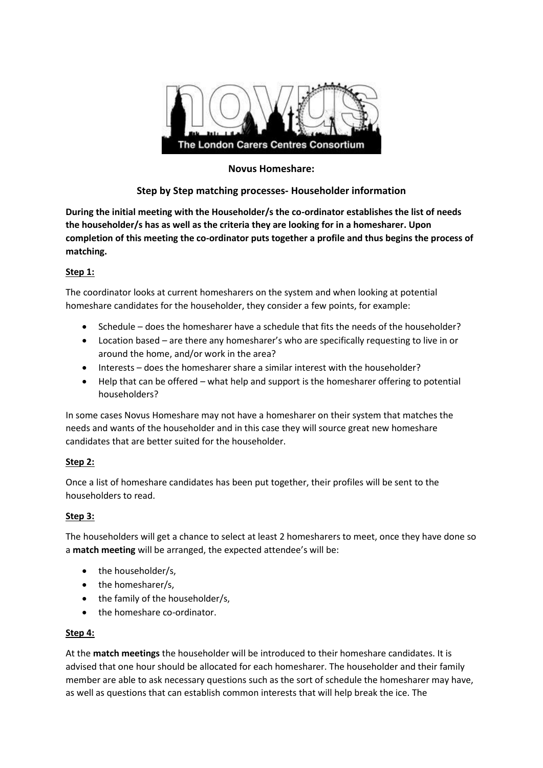

## **Novus Homeshare:**

# **Step by Step matching processes- Householder information**

**During the initial meeting with the Householder/s the co-ordinator establishes the list of needs the householder/s has as well as the criteria they are looking for in a homesharer. Upon completion of this meeting the co-ordinator puts together a profile and thus begins the process of matching.**

### **Step 1:**

The coordinator looks at current homesharers on the system and when looking at potential homeshare candidates for the householder, they consider a few points, for example:

- Schedule does the homesharer have a schedule that fits the needs of the householder?
- Location based are there any homesharer's who are specifically requesting to live in or around the home, and/or work in the area?
- Interests does the homesharer share a similar interest with the householder?
- Help that can be offered what help and support is the homesharer offering to potential householders?

In some cases Novus Homeshare may not have a homesharer on their system that matches the needs and wants of the householder and in this case they will source great new homeshare candidates that are better suited for the householder.

### **Step 2:**

Once a list of homeshare candidates has been put together, their profiles will be sent to the householders to read.

### **Step 3:**

The householders will get a chance to select at least 2 homesharers to meet, once they have done so a **match meeting** will be arranged, the expected attendee's will be:

- the householder/s,
- the homesharer/s,
- the family of the householder/s,
- the homeshare co-ordinator.

### **Step 4:**

At the **match meetings** the householder will be introduced to their homeshare candidates. It is advised that one hour should be allocated for each homesharer. The householder and their family member are able to ask necessary questions such as the sort of schedule the homesharer may have, as well as questions that can establish common interests that will help break the ice. The